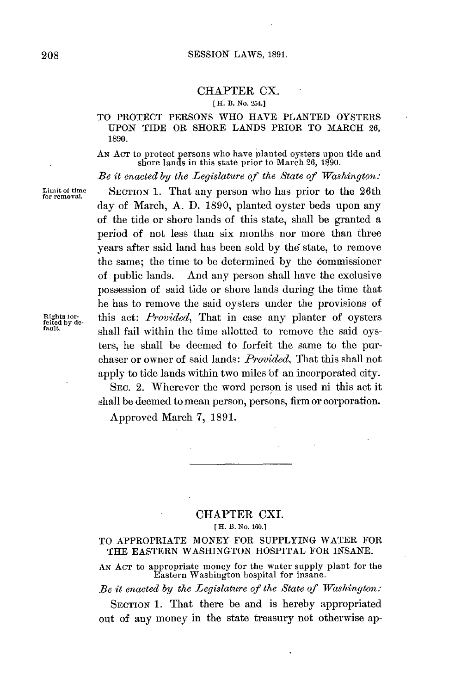#### **SESSION** LAWS, **1891.**

#### CHAPTER CX.

#### **[H. B. No. 254.]**

## TO PROTECT **PERSONS** WHO **HAVE PLANTED** OYSTERS **UPON TIDE** OR SHORE **LANDS** PRIOR TO MARCH **26, 1890.**

**AN ACT** to protect persons who have planted oysters upon tide and shore lands in this state prior to March **26,** 1890.

*Be it enacted by the Legislature of the State of Washington:*

**Limit otime SECTION 1.** That any person who has prior to the 26th **for removal.**

day of March, **A. D. 1890,** planted oyster beds upon any of the tide or shore lands of this state, shall be granted a period of not less than six months nor more than three years after said land has been sold **by** the state, to remove the same; the time to be determined **by** the commissioner of public lands. And any person shall have the exclusive possession of said tide or shore lands during the time that he has to remove the said oysters under the provisions of **Riglots** tor- this act: *Provided,* That in case any planter of oysters **feited byde fault.** shall fail within the time allotted to remove the said oysters, he shall be deemed to forfeit the same to the purchaser or owner of said lands: *Provided,* That this shall not apply to tide lands within two miles **'of** an incorporated city.

> SEC. 2. Wherever the word person is used ni this act it shall be deemed to mean person, persons, firm or corporation.

Approved March **7, 1891.**

## CHAPTER CXI. **[ H. B. No. 160.]**

### TO APPROPRIATE MONEY FOR **SUPPLYING** WATER FOR THE **EASTERN WASHINGTON** HOSPITAL FOR **INSANE.**

**AN ACT** to appropriate money for the water supply plant for the Eastern Washington hospital for insane.

*Be it enacted by the Legislature of the State of Washington:*

**SECTION 1.** That there be and is hereby appropriated out of any money in the state treasury not otherwise ap